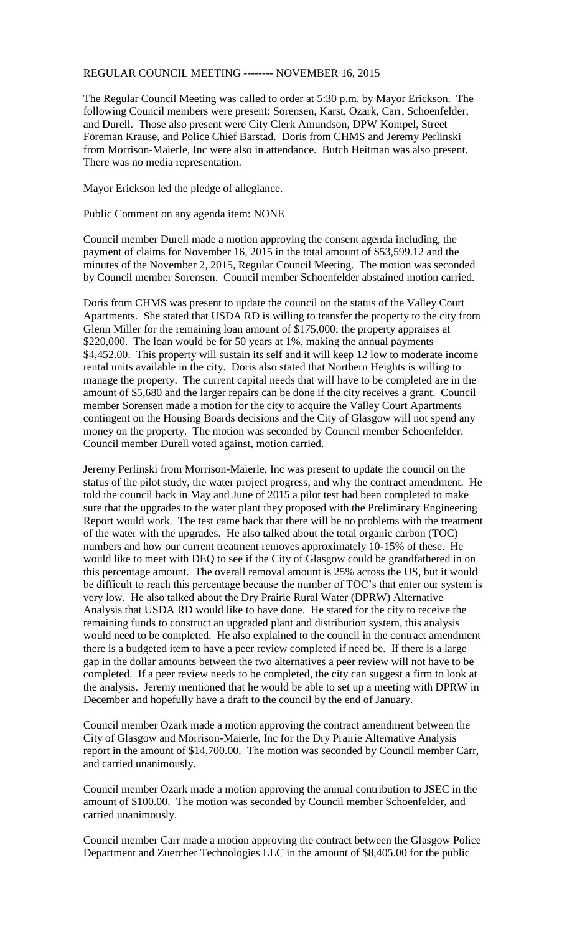## REGULAR COUNCIL MEETING -------- NOVEMBER 16, 2015

The Regular Council Meeting was called to order at 5:30 p.m. by Mayor Erickson. The following Council members were present: Sorensen, Karst, Ozark, Carr, Schoenfelder, and Durell. Those also present were City Clerk Amundson, DPW Kompel, Street Foreman Krause, and Police Chief Barstad. Doris from CHMS and Jeremy Perlinski from Morrison-Maierle, Inc were also in attendance. Butch Heitman was also present. There was no media representation.

Mayor Erickson led the pledge of allegiance.

Public Comment on any agenda item: NONE

Council member Durell made a motion approving the consent agenda including, the payment of claims for November 16, 2015 in the total amount of \$53,599.12 and the minutes of the November 2, 2015, Regular Council Meeting. The motion was seconded by Council member Sorensen. Council member Schoenfelder abstained motion carried.

Doris from CHMS was present to update the council on the status of the Valley Court Apartments. She stated that USDA RD is willing to transfer the property to the city from Glenn Miller for the remaining loan amount of \$175,000; the property appraises at \$220,000. The loan would be for 50 years at 1%, making the annual payments \$4,452.00. This property will sustain its self and it will keep 12 low to moderate income rental units available in the city. Doris also stated that Northern Heights is willing to manage the property. The current capital needs that will have to be completed are in the amount of \$5,680 and the larger repairs can be done if the city receives a grant. Council member Sorensen made a motion for the city to acquire the Valley Court Apartments contingent on the Housing Boards decisions and the City of Glasgow will not spend any money on the property. The motion was seconded by Council member Schoenfelder. Council member Durell voted against, motion carried.

Jeremy Perlinski from Morrison-Maierle, Inc was present to update the council on the status of the pilot study, the water project progress, and why the contract amendment. He told the council back in May and June of 2015 a pilot test had been completed to make sure that the upgrades to the water plant they proposed with the Preliminary Engineering Report would work. The test came back that there will be no problems with the treatment of the water with the upgrades. He also talked about the total organic carbon (TOC) numbers and how our current treatment removes approximately 10-15% of these. He would like to meet with DEQ to see if the City of Glasgow could be grandfathered in on this percentage amount. The overall removal amount is 25% across the US, but it would be difficult to reach this percentage because the number of TOC's that enter our system is very low. He also talked about the Dry Prairie Rural Water (DPRW) Alternative Analysis that USDA RD would like to have done. He stated for the city to receive the remaining funds to construct an upgraded plant and distribution system, this analysis would need to be completed. He also explained to the council in the contract amendment there is a budgeted item to have a peer review completed if need be. If there is a large gap in the dollar amounts between the two alternatives a peer review will not have to be completed. If a peer review needs to be completed, the city can suggest a firm to look at the analysis. Jeremy mentioned that he would be able to set up a meeting with DPRW in December and hopefully have a draft to the council by the end of January.

Council member Ozark made a motion approving the contract amendment between the City of Glasgow and Morrison-Maierle, Inc for the Dry Prairie Alternative Analysis report in the amount of \$14,700.00. The motion was seconded by Council member Carr, and carried unanimously.

Council member Ozark made a motion approving the annual contribution to JSEC in the amount of \$100.00. The motion was seconded by Council member Schoenfelder, and carried unanimously.

Council member Carr made a motion approving the contract between the Glasgow Police Department and Zuercher Technologies LLC in the amount of \$8,405.00 for the public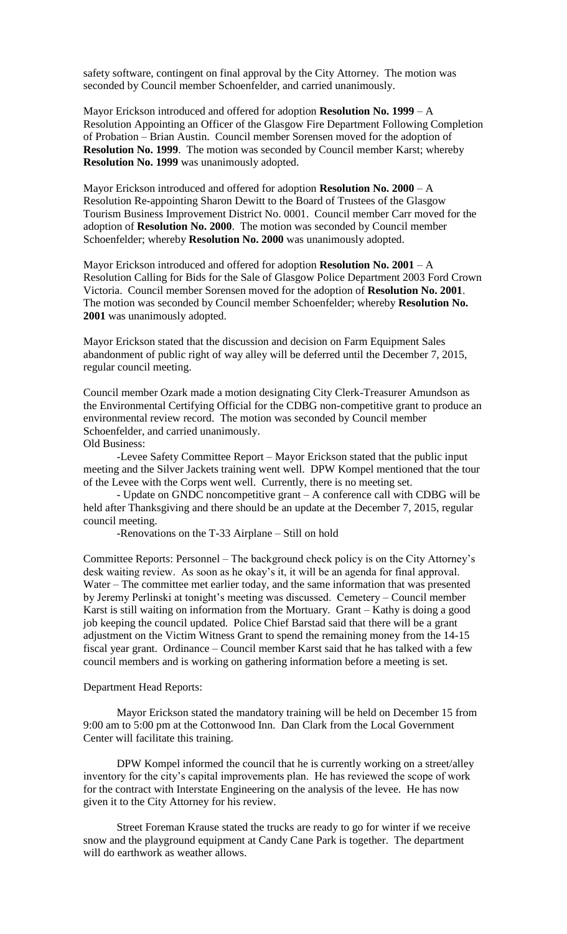safety software, contingent on final approval by the City Attorney. The motion was seconded by Council member Schoenfelder, and carried unanimously.

Mayor Erickson introduced and offered for adoption **Resolution No. 1999** – A Resolution Appointing an Officer of the Glasgow Fire Department Following Completion of Probation – Brian Austin. Council member Sorensen moved for the adoption of **Resolution No. 1999**. The motion was seconded by Council member Karst; whereby **Resolution No. 1999** was unanimously adopted.

Mayor Erickson introduced and offered for adoption **Resolution No. 2000** – A Resolution Re-appointing Sharon Dewitt to the Board of Trustees of the Glasgow Tourism Business Improvement District No. 0001. Council member Carr moved for the adoption of **Resolution No. 2000**. The motion was seconded by Council member Schoenfelder; whereby **Resolution No. 2000** was unanimously adopted.

Mayor Erickson introduced and offered for adoption **Resolution No. 2001** – A Resolution Calling for Bids for the Sale of Glasgow Police Department 2003 Ford Crown Victoria. Council member Sorensen moved for the adoption of **Resolution No. 2001**. The motion was seconded by Council member Schoenfelder; whereby **Resolution No. 2001** was unanimously adopted.

Mayor Erickson stated that the discussion and decision on Farm Equipment Sales abandonment of public right of way alley will be deferred until the December 7, 2015, regular council meeting.

Council member Ozark made a motion designating City Clerk-Treasurer Amundson as the Environmental Certifying Official for the CDBG non-competitive grant to produce an environmental review record. The motion was seconded by Council member Schoenfelder, and carried unanimously.

Old Business:

-Levee Safety Committee Report – Mayor Erickson stated that the public input meeting and the Silver Jackets training went well. DPW Kompel mentioned that the tour of the Levee with the Corps went well. Currently, there is no meeting set.

- Update on GNDC noncompetitive grant – A conference call with CDBG will be held after Thanksgiving and there should be an update at the December 7, 2015, regular council meeting.

-Renovations on the T-33 Airplane – Still on hold

Committee Reports: Personnel – The background check policy is on the City Attorney's desk waiting review. As soon as he okay's it, it will be an agenda for final approval. Water – The committee met earlier today, and the same information that was presented by Jeremy Perlinski at tonight's meeting was discussed. Cemetery – Council member Karst is still waiting on information from the Mortuary. Grant – Kathy is doing a good job keeping the council updated. Police Chief Barstad said that there will be a grant adjustment on the Victim Witness Grant to spend the remaining money from the 14-15 fiscal year grant. Ordinance – Council member Karst said that he has talked with a few council members and is working on gathering information before a meeting is set.

## Department Head Reports:

Mayor Erickson stated the mandatory training will be held on December 15 from 9:00 am to 5:00 pm at the Cottonwood Inn. Dan Clark from the Local Government Center will facilitate this training.

DPW Kompel informed the council that he is currently working on a street/alley inventory for the city's capital improvements plan. He has reviewed the scope of work for the contract with Interstate Engineering on the analysis of the levee. He has now given it to the City Attorney for his review.

Street Foreman Krause stated the trucks are ready to go for winter if we receive snow and the playground equipment at Candy Cane Park is together. The department will do earthwork as weather allows.